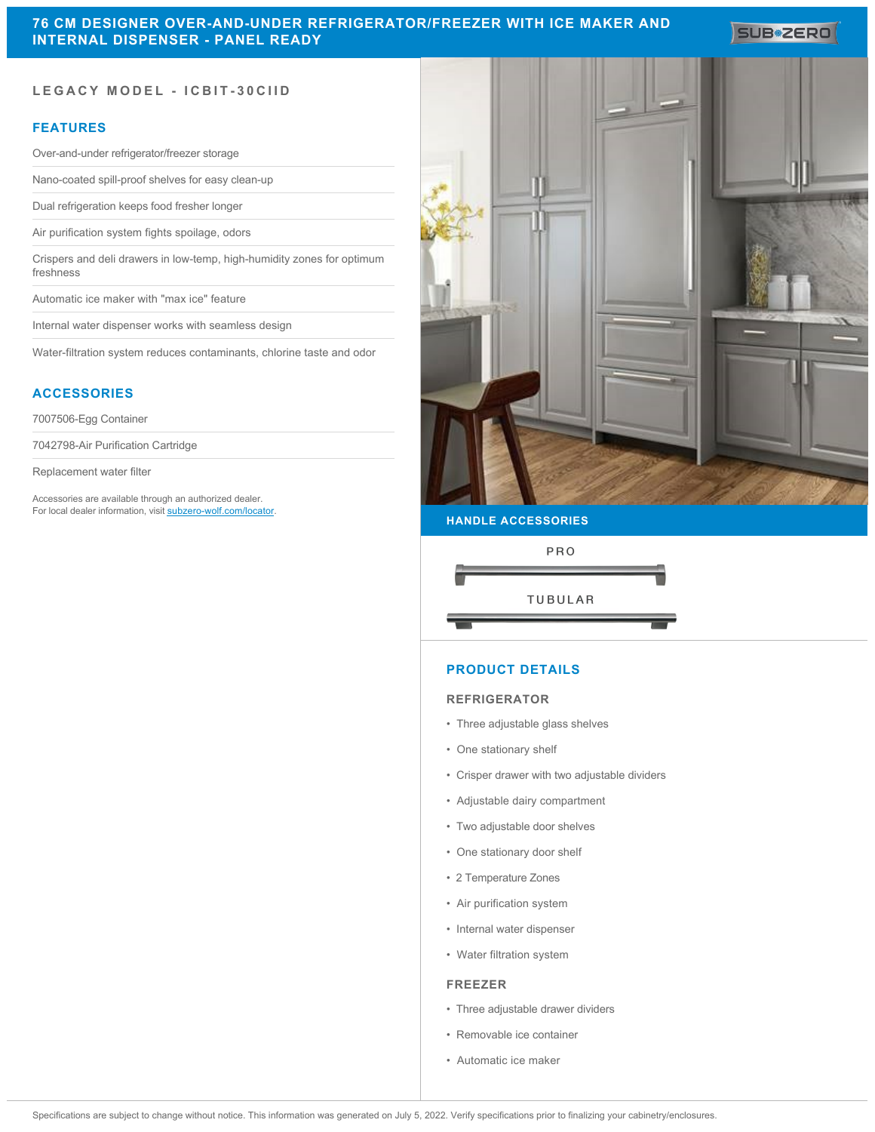SUB<sup>\*</sup>ZERO

# **LEGACY MODEL - ICBIT-30CIID**

# **FEATURES**

Over-and-under refrigerator/freezer storage

Nano-coated spill-proof shelves for easy clean-up

Dual refrigeration keeps food fresher longer

Air purification system fights spoilage, odors

Crispers and deli drawers in low-temp, high-humidity zones for optimum freshness

Automatic ice maker with "max ice" feature

Internal water dispenser works with seamless design

Water-filtration system reduces contaminants, chlorine taste and odor

# **ACCESSORIES**

7007506-Egg Container

7042798-Air Purification Cartridge

Replacement water filter

Accessories are available through an authorized dealer. For local dealer information, visit [subzero-wolf.com/locator.](http://www.subzero-wolf.com/locator)



#### **HANDLE ACCESSORIES**



## **PRODUCT DETAILS**

#### **REFRIGERATOR**

- Three adjustable glass shelves
- One stationary shelf
- Crisper drawer with two adjustable dividers
- Adjustable dairy compartment
- Two adjustable door shelves
- One stationary door shelf
- 2 Temperature Zones
- Air purification system
- Internal water dispenser
- Water filtration system

#### **FREEZER**

- Three adjustable drawer dividers
- Removable ice container
- Automatic ice maker